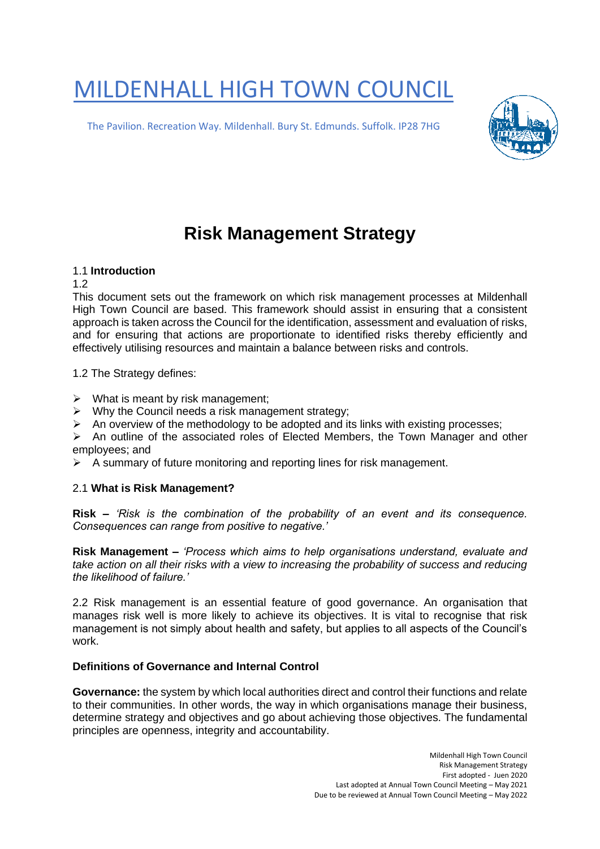# MILDENHALL HIGH TOWN COUNCIL

The Pavilion. Recreation Way. Mildenhall. Bury St. Edmunds. Suffolk. IP28 7HG



# **Risk Management Strategy**

# 1.1 **Introduction**

#### 1.2

This document sets out the framework on which risk management processes at Mildenhall High Town Council are based. This framework should assist in ensuring that a consistent approach is taken across the Council for the identification, assessment and evaluation of risks, and for ensuring that actions are proportionate to identified risks thereby efficiently and effectively utilising resources and maintain a balance between risks and controls.

1.2 The Strategy defines:

- $\triangleright$  What is meant by risk management;
- ➢ Why the Council needs a risk management strategy;
- $\triangleright$  An overview of the methodology to be adopted and its links with existing processes;

➢ An outline of the associated roles of Elected Members, the Town Manager and other employees; and

 $\triangleright$  A summary of future monitoring and reporting lines for risk management.

#### 2.1 **What is Risk Management?**

**Risk –** *'Risk is the combination of the probability of an event and its consequence. Consequences can range from positive to negative.'* 

**Risk Management –** *'Process which aims to help organisations understand, evaluate and take action on all their risks with a view to increasing the probability of success and reducing the likelihood of failure.'* 

2.2 Risk management is an essential feature of good governance. An organisation that manages risk well is more likely to achieve its objectives. It is vital to recognise that risk management is not simply about health and safety, but applies to all aspects of the Council's work.

#### **Definitions of Governance and Internal Control**

**Governance:** the system by which local authorities direct and control their functions and relate to their communities. In other words, the way in which organisations manage their business, determine strategy and objectives and go about achieving those objectives. The fundamental principles are openness, integrity and accountability.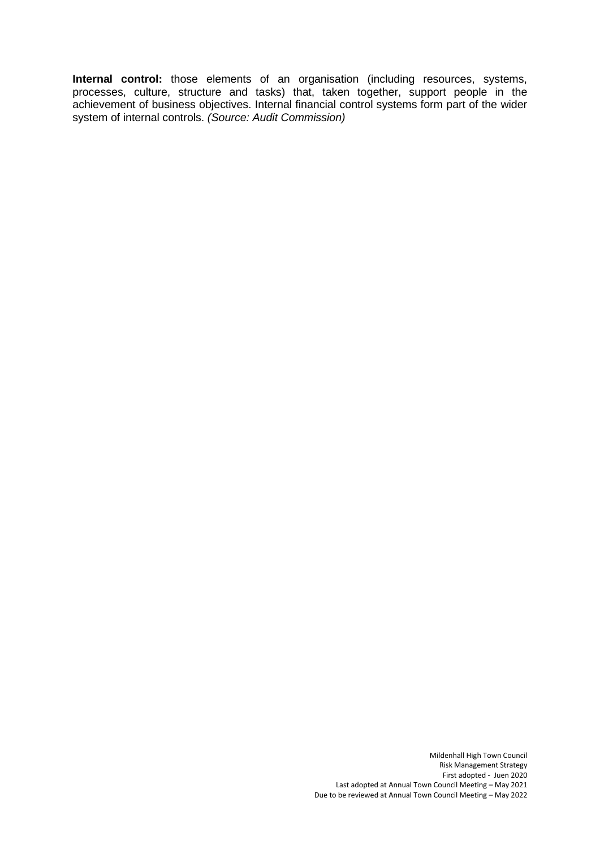**Internal control:** those elements of an organisation (including resources, systems, processes, culture, structure and tasks) that, taken together, support people in the achievement of business objectives. Internal financial control systems form part of the wider system of internal controls. *(Source: Audit Commission)*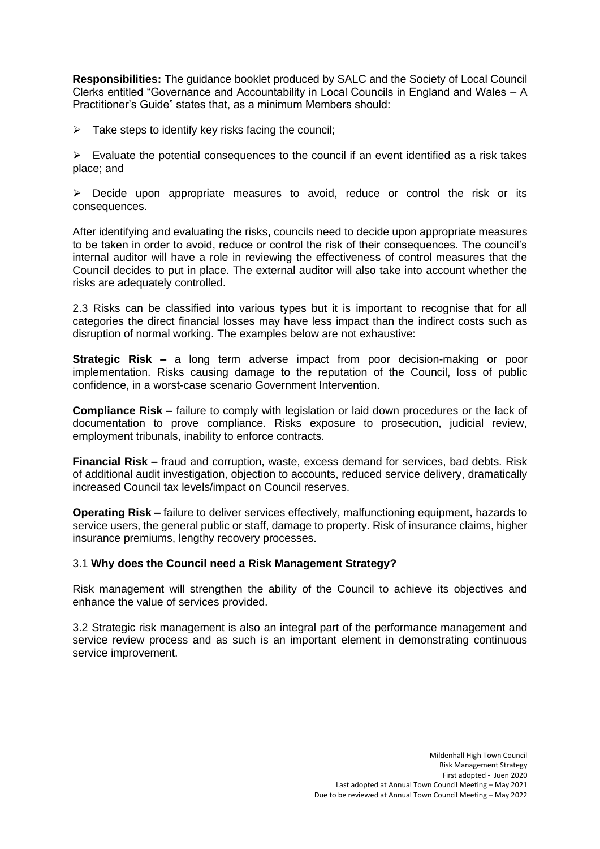**Responsibilities:** The guidance booklet produced by SALC and the Society of Local Council Clerks entitled "Governance and Accountability in Local Councils in England and Wales – A Practitioner's Guide" states that, as a minimum Members should:

 $\triangleright$  Take steps to identify key risks facing the council;

 $\triangleright$  Evaluate the potential consequences to the council if an event identified as a risk takes place; and

➢ Decide upon appropriate measures to avoid, reduce or control the risk or its consequences.

After identifying and evaluating the risks, councils need to decide upon appropriate measures to be taken in order to avoid, reduce or control the risk of their consequences. The council's internal auditor will have a role in reviewing the effectiveness of control measures that the Council decides to put in place. The external auditor will also take into account whether the risks are adequately controlled.

2.3 Risks can be classified into various types but it is important to recognise that for all categories the direct financial losses may have less impact than the indirect costs such as disruption of normal working. The examples below are not exhaustive:

**Strategic Risk –** a long term adverse impact from poor decision-making or poor implementation. Risks causing damage to the reputation of the Council, loss of public confidence, in a worst-case scenario Government Intervention.

**Compliance Risk –** failure to comply with legislation or laid down procedures or the lack of documentation to prove compliance. Risks exposure to prosecution, judicial review, employment tribunals, inability to enforce contracts.

**Financial Risk –** fraud and corruption, waste, excess demand for services, bad debts. Risk of additional audit investigation, objection to accounts, reduced service delivery, dramatically increased Council tax levels/impact on Council reserves.

**Operating Risk –** failure to deliver services effectively, malfunctioning equipment, hazards to service users, the general public or staff, damage to property. Risk of insurance claims, higher insurance premiums, lengthy recovery processes.

#### 3.1 **Why does the Council need a Risk Management Strategy?**

Risk management will strengthen the ability of the Council to achieve its objectives and enhance the value of services provided.

3.2 Strategic risk management is also an integral part of the performance management and service review process and as such is an important element in demonstrating continuous service improvement.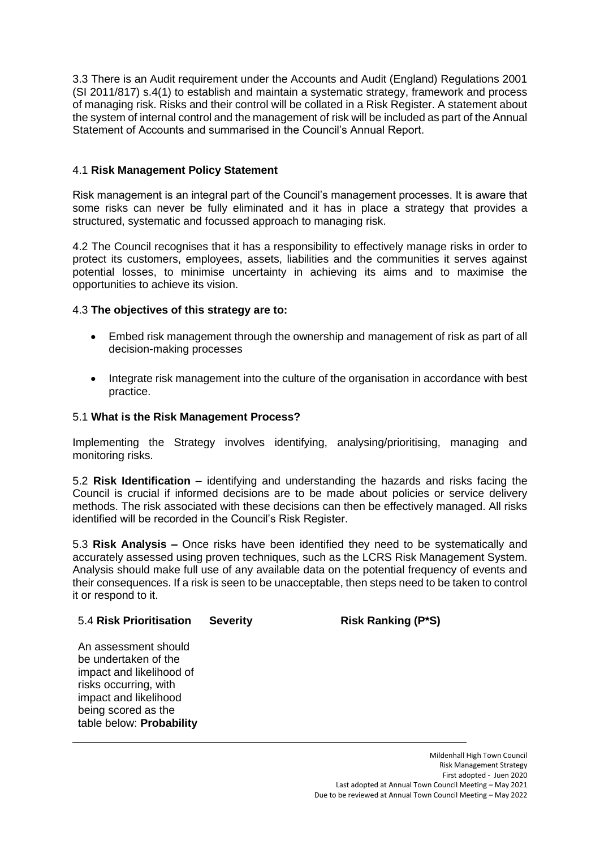3.3 There is an Audit requirement under the Accounts and Audit (England) Regulations 2001 (SI 2011/817) s.4(1) to establish and maintain a systematic strategy, framework and process of managing risk. Risks and their control will be collated in a Risk Register. A statement about the system of internal control and the management of risk will be included as part of the Annual Statement of Accounts and summarised in the Council's Annual Report.

# 4.1 **Risk Management Policy Statement**

Risk management is an integral part of the Council's management processes. It is aware that some risks can never be fully eliminated and it has in place a strategy that provides a structured, systematic and focussed approach to managing risk.

4.2 The Council recognises that it has a responsibility to effectively manage risks in order to protect its customers, employees, assets, liabilities and the communities it serves against potential losses, to minimise uncertainty in achieving its aims and to maximise the opportunities to achieve its vision.

# 4.3 **The objectives of this strategy are to:**

- Embed risk management through the ownership and management of risk as part of all decision-making processes
- Integrate risk management into the culture of the organisation in accordance with best practice.

#### 5.1 **What is the Risk Management Process?**

Implementing the Strategy involves identifying, analysing/prioritising, managing and monitoring risks.

5.2 **Risk Identification –** identifying and understanding the hazards and risks facing the Council is crucial if informed decisions are to be made about policies or service delivery methods. The risk associated with these decisions can then be effectively managed. All risks identified will be recorded in the Council's Risk Register.

5.3 **Risk Analysis –** Once risks have been identified they need to be systematically and accurately assessed using proven techniques, such as the LCRS Risk Management System. Analysis should make full use of any available data on the potential frequency of events and their consequences. If a risk is seen to be unacceptable, then steps need to be taken to control it or respond to it.

#### 5.4 **Risk Prioritisation**

#### **Severity Risk Ranking (P\*S)**

An assessment should be undertaken of the impact and likelihood of risks occurring, with impact and likelihood being scored as the table below: **Probability**